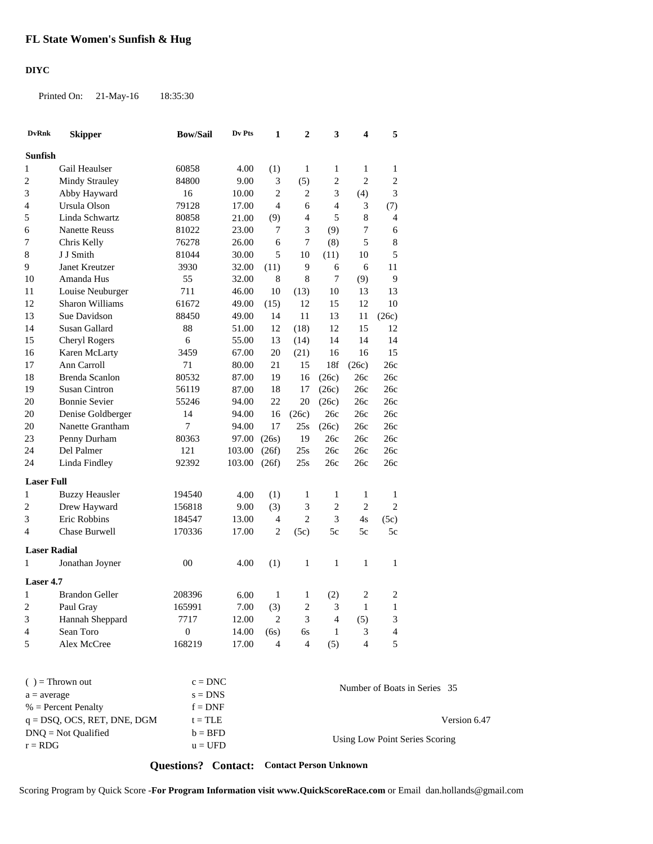## **DIYC**

Printed On: 21-May-16 18:35:30

| <b>DvRnk</b>            | <b>Skipper</b>        | <b>Bow/Sail</b>  | Dv Pts    | 1              | $\overline{2}$ | 3            | 4                           | 5                            |
|-------------------------|-----------------------|------------------|-----------|----------------|----------------|--------------|-----------------------------|------------------------------|
| <b>Sunfish</b>          |                       |                  |           |                |                |              |                             |                              |
| 1                       | Gail Heaulser         | 60858            | 4.00      | (1)            | 1              | 1            | 1                           | 1                            |
| $\overline{c}$          | <b>Mindy Strauley</b> | 84800            | 9.00      | 3              | (5)            | 2            | $\overline{2}$              | $\overline{2}$               |
| 3                       | Abby Hayward          | 16               | $10.00\,$ | $\overline{c}$ | $\mathbf{2}$   | 3            | (4)                         | 3                            |
| 4                       | Ursula Olson          | 79128            | 17.00     | $\overline{4}$ | 6              | 4            | $\ensuremath{\mathfrak{Z}}$ | (7)                          |
| 5                       | Linda Schwartz        | 80858            | 21.00     | (9)            | 4              | 5            | $\,8\,$                     | 4                            |
| 6                       | <b>Nanette Reuss</b>  | 81022            | 23.00     | 7              | 3              | (9)          | $\overline{7}$              | 6                            |
| 7                       | Chris Kelly           | 76278            | 26.00     | 6              | 7              | (8)          | 5                           | 8                            |
| 8                       | J J Smith             | 81044            | 30.00     | 5              | 10             | (11)         | 10                          | 5                            |
| 9                       | Janet Kreutzer        | 3930             | 32.00     | (11)           | 9              | 6            | 6                           | 11                           |
| 10                      | Amanda Hus            | 55               | 32.00     | 8              | 8              | 7            | (9)                         | 9                            |
| 11                      | Louise Neuburger      | 711              | 46.00     | 10             | (13)           | 10           | 13                          | 13                           |
| 12                      | Sharon Williams       | 61672            | 49.00     | (15)           | 12             | 15           | 12                          | 10                           |
| 13                      | Sue Davidson          | 88450            | 49.00     | 14             | 11             | 13           | 11                          | (26c)                        |
| 14                      | Susan Gallard         | 88               | 51.00     | 12             | (18)           | 12           | 15                          | 12                           |
| 15                      | <b>Cheryl Rogers</b>  | 6                | 55.00     | 13             | (14)           | 14           | 14                          | 14                           |
| 16                      | Karen McLarty         | 3459             | 67.00     | 20             | (21)           | 16           | 16                          | 15                           |
| 17                      | Ann Carroll           | 71               | 80.00     | 21             | 15             | 18f          | (26c)                       | 26c                          |
| 18                      | Brenda Scanlon        | 80532            | 87.00     | 19             | 16             | (26c)        | 26c                         | 26c                          |
| 19                      | <b>Susan Cintron</b>  | 56119            | 87.00     | 18             | 17             | (26c)        | 26c                         | 26c                          |
| 20                      | <b>Bonnie Sevier</b>  | 55246            | 94.00     | 22             | 20             | (26c)        | 26c                         | 26c                          |
| 20                      | Denise Goldberger     | 14               | 94.00     | 16             | (26c)          | 26c          | 26с                         | 26c                          |
| 20                      | Nanette Grantham      | 7                | 94.00     | 17             | 25s            | (26c)        | 26c                         | 26c                          |
| 23                      | Penny Durham          | 80363            | 97.00     | (26s)          | 19             | 26c          | 26c                         | 26c                          |
| 24                      | Del Palmer            | 121              | 103.00    | (26f)          | 25s            | 26c          | 26c                         | 26c                          |
| 24                      | Linda Findley         | 92392            | 103.00    | (26f)          | 25s            | 26c          | 26c                         | 26c                          |
|                         |                       |                  |           |                |                |              |                             |                              |
| <b>Laser Full</b>       |                       |                  |           |                |                |              |                             |                              |
| 1                       | <b>Buzzy Heausler</b> | 194540           | 4.00      | (1)            | 1              | $\mathbf{1}$ | 1                           | 1                            |
| 2                       | Drew Hayward          | 156818           | 9.00      | (3)            | 3              | 2            | $\overline{2}$              | $\overline{2}$               |
| 3                       | Eric Robbins          | 184547           | 13.00     | $\overline{4}$ | $\overline{c}$ | 3            | 4s                          | (5c)                         |
| 4                       | Chase Burwell         | 170336           | 17.00     | 2              | (5c)           | 5c           | 5c                          | 5c                           |
| <b>Laser Radial</b>     |                       |                  |           |                |                |              |                             |                              |
| 1                       | Jonathan Joyner       | 00               | 4.00      | (1)            | 1              | 1            | 1                           | 1                            |
| Laser 4.7               |                       |                  |           |                |                |              |                             |                              |
| 1                       | <b>Brandon Geller</b> | 208396           | 6.00      | 1              | 1              | (2)          | $\overline{2}$              | $\overline{2}$               |
| $\overline{\mathbf{c}}$ | Paul Gray             | 165991           | 7.00      | (3)            | 2              | 3            | 1                           | 1                            |
| 3                       | Hannah Sheppard       | 7717             | 12.00     | 2              | 3              | 4            | (5)                         | 3                            |
| 4                       | Sean Toro             | $\boldsymbol{0}$ | 14.00     | (6s)           | 6s             | 1            | 3                           | 4                            |
| 5                       | Alex McCree           | 168219           | 17.00     | 4              | $\overline{4}$ | (5)          | $\overline{4}$              | 5                            |
|                         |                       |                  |           |                |                |              |                             |                              |
|                         | $( )$ = Thrown out    | $c = DNC$        |           |                |                |              |                             | Number of Boats in Series 35 |
| $a = a \sqrt{q}$        |                       | $s - DNS$        |           |                |                |              |                             |                              |

| $\left( \quad \right) = 1$ nrown out | $c = DNC$ | Number of Boats in Series 35   |
|--------------------------------------|-----------|--------------------------------|
| $a = average$                        | $s = DNS$ |                                |
| $%$ = Percent Penalty                | $f = DNF$ |                                |
| $q = DSQ$ , OCS, RET, DNE, DGM       | $t = TLE$ | Version 6.47                   |
| $DNO = Not$ Oualified                | $b = BFD$ |                                |
| $r = RDG$                            | $u = UFD$ | Using Low Point Series Scoring |

**Questions? Contact: Contact Person Unknown**

Scoring Program by Quick Score -**For Program Information visit www.QuickScoreRace.com** or Email dan.hollands@gmail.com